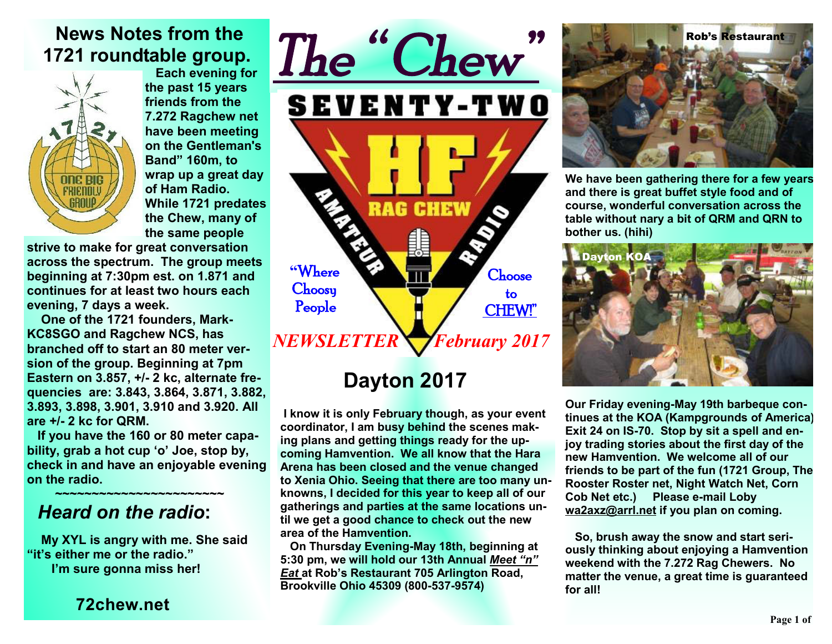## **News Notes from the 1721 roundtable group.**



 **Each evening for the past 15 years friends from the 7.272 Ragchew net have been meeting on the Gentleman's Band" 160m, to wrap up a great day of Ham Radio. While 1721 predates the Chew, many of the same people** 

**strive to make for great conversation across the spectrum. The group meets beginning at 7:30pm est. on 1.871 and continues for at least two hours each evening, 7 days a week.** 

 **One of the 1721 founders, Mark-KC8SGO and Ragchew NCS, has branched off to start an 80 meter version of the group. Beginning at 7pm Eastern on 3.857, +/- 2 kc, alternate frequencies are: 3.843, 3.864, 3.871, 3.882, 3.893, 3.898, 3.901, 3.910 and 3.920. All are +/- 2 kc for QRM.** 

 **If you have the 160 or 80 meter capability, grab a hot cup 'o' Joe, stop by, check in and have an enjoyable evening on the radio.** 

### **~~~~~~~~~~~~~~~~~~~~~~~** *Heard on the radio***:**

 **My XYL is angry with me. She said "it's either me or the radio." I'm sure gonna miss her!** 

**72chew.net**



# **Dayton 2017**

**I know it is only February though, as your event coordinator, I am busy behind the scenes making plans and getting things ready for the upcoming Hamvention. We all know that the Hara Arena has been closed and the venue changed to Xenia Ohio. Seeing that there are too many unknowns, I decided for this year to keep all of our gatherings and parties at the same locations until we get a good chance to check out the new area of the Hamvention.** 

 **On Thursday Evening-May 18th, beginning at 5:30 pm, we will hold our 13th Annual** *Meet "n" Eat* **at Rob's Restaurant 705 Arlington Road, Brookville Ohio 45309 (800-537-9574)** 



**We have been gathering there for a few years and there is great buffet style food and of course, wonderful conversation across the table without nary a bit of QRM and QRN to bother us. (hihi)** 



**Our Friday evening-May 19th barbeque continues at the KOA (Kampgrounds of America) Exit 24 on IS-70. Stop by sit a spell and enjoy trading stories about the first day of the new Hamvention. We welcome all of our friends to be part of the fun (1721 Group, The Rooster Roster net, Night Watch Net, Corn Cob Net etc.) Please e-mail Loby wa2axz@arrl.net if you plan on coming.** 

**So, brush away the snow and start seriously thinking about enjoying a Hamvention weekend with the 7.272 Rag Chewers. No matter the venue, a great time is guaranteed for all!**